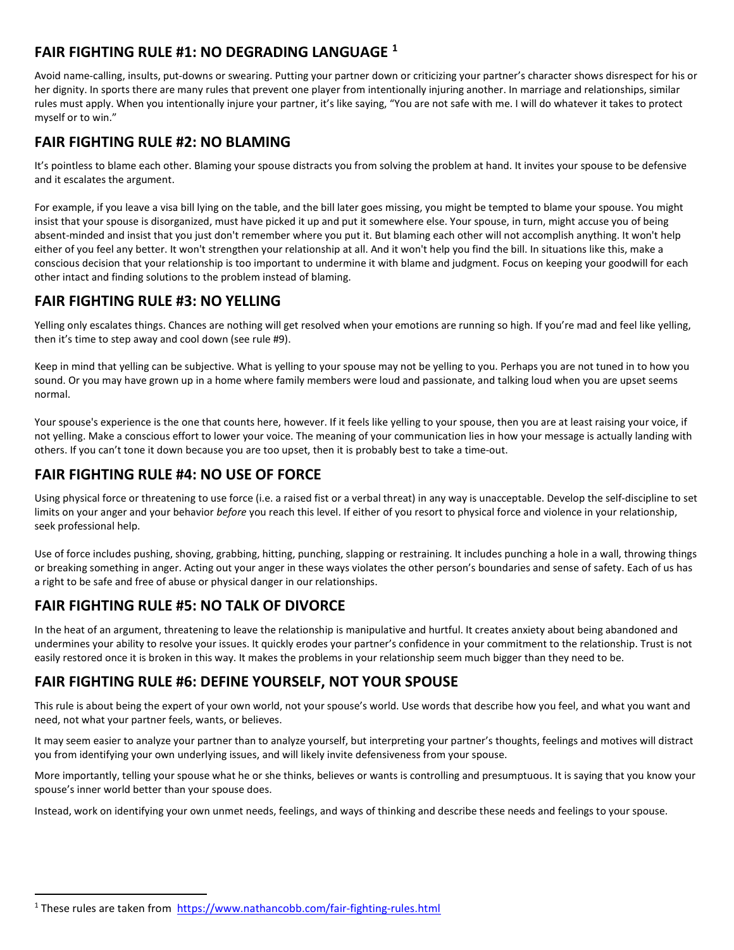# FAIR FIGHTING RULE #1: NO DEGRADING LANGUAGE <sup>1</sup>

Avoid name-calling, insults, put-downs or swearing. Putting your partner down or criticizing your partner's character shows disrespect for his or her dignity. In sports there are many rules that prevent one player from intentionally injuring another. In marriage and relationships, similar rules must apply. When you intentionally injure your partner, it's like saying, "You are not safe with me. I will do whatever it takes to protect myself or to win."

### FAIR FIGHTING RULE #2: NO BLAMING

It's pointless to blame each other. Blaming your spouse distracts you from solving the problem at hand. It invites your spouse to be defensive and it escalates the argument.

For example, if you leave a visa bill lying on the table, and the bill later goes missing, you might be tempted to blame your spouse. You might insist that your spouse is disorganized, must have picked it up and put it somewhere else. Your spouse, in turn, might accuse you of being absent-minded and insist that you just don't remember where you put it. But blaming each other will not accomplish anything. It won't help either of you feel any better. It won't strengthen your relationship at all. And it won't help you find the bill. In situations like this, make a conscious decision that your relationship is too important to undermine it with blame and judgment. Focus on keeping your goodwill for each other intact and finding solutions to the problem instead of blaming.

#### FAIR FIGHTING RULE #3: NO YELLING

Yelling only escalates things. Chances are nothing will get resolved when your emotions are running so high. If you're mad and feel like yelling, then it's time to step away and cool down (see rule #9).

Keep in mind that yelling can be subjective. What is yelling to your spouse may not be yelling to you. Perhaps you are not tuned in to how you sound. Or you may have grown up in a home where family members were loud and passionate, and talking loud when you are upset seems normal.

Your spouse's experience is the one that counts here, however. If it feels like yelling to your spouse, then you are at least raising your voice, if not yelling. Make a conscious effort to lower your voice. The meaning of your communication lies in how your message is actually landing with others. If you can't tone it down because you are too upset, then it is probably best to take a time-out.

# FAIR FIGHTING RULE #4: NO USE OF FORCE

Using physical force or threatening to use force (i.e. a raised fist or a verbal threat) in any way is unacceptable. Develop the self-discipline to set limits on your anger and your behavior before you reach this level. If either of you resort to physical force and violence in your relationship, seek professional help.

Use of force includes pushing, shoving, grabbing, hitting, punching, slapping or restraining. It includes punching a hole in a wall, throwing things or breaking something in anger. Acting out your anger in these ways violates the other person's boundaries and sense of safety. Each of us has a right to be safe and free of abuse or physical danger in our relationships.

#### FAIR FIGHTING RULE #5: NO TALK OF DIVORCE

In the heat of an argument, threatening to leave the relationship is manipulative and hurtful. It creates anxiety about being abandoned and undermines your ability to resolve your issues. It quickly erodes your partner's confidence in your commitment to the relationship. Trust is not easily restored once it is broken in this way. It makes the problems in your relationship seem much bigger than they need to be.

#### FAIR FIGHTING RULE #6: DEFINE YOURSELF, NOT YOUR SPOUSE

This rule is about being the expert of your own world, not your spouse's world. Use words that describe how you feel, and what you want and need, not what your partner feels, wants, or believes.

It may seem easier to analyze your partner than to analyze yourself, but interpreting your partner's thoughts, feelings and motives will distract you from identifying your own underlying issues, and will likely invite defensiveness from your spouse.

More importantly, telling your spouse what he or she thinks, believes or wants is controlling and presumptuous. It is saying that you know your spouse's inner world better than your spouse does.

Instead, work on identifying your own unmet needs, feelings, and ways of thinking and describe these needs and feelings to your spouse.

<sup>&</sup>lt;sup>1</sup> These rules are taken from https://www.nathancobb.com/fair-fighting-rules.html